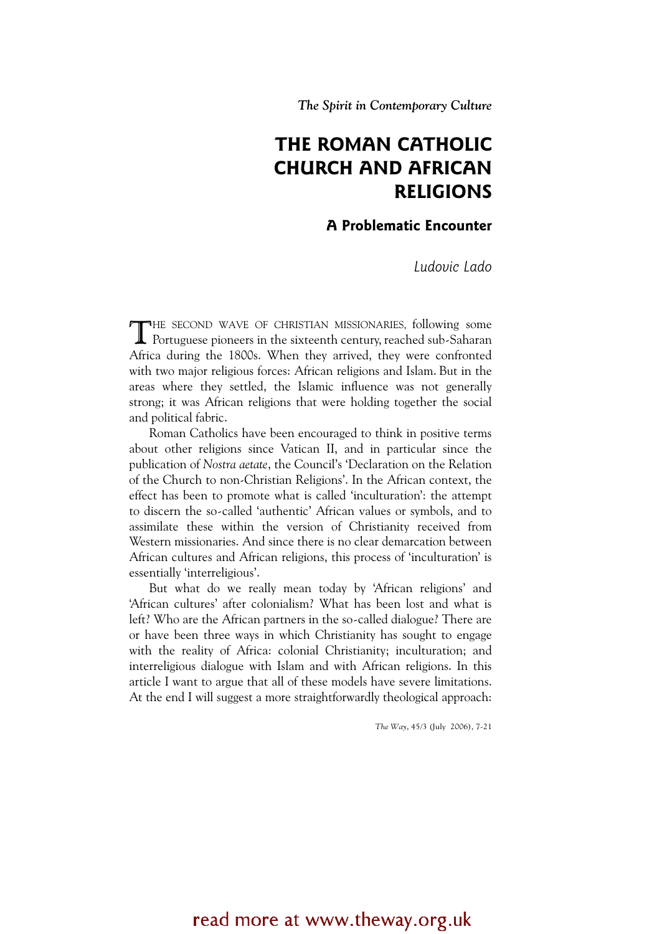The Spirit in Contemporary Culture

# THE ROMAN CATHOLIC CHURCH AND AFRICAN RELIGIONS

## A Problematic Encounter

Ludovic Lado

HE SECOND WAVE OF CHRISTIAN MISSIONARIES, following some THE SECOND WAVE OF CHRISTIAN MISSIONARIES, following some Portuguese pioneers in the sixteenth century, reached sub-Saharan Africa during the 1800s. When they arrived, they were confronted with two major religious forces: African religions and Islam. But in the areas where they settled, the Islamic influence was not generally strong; it was African religions that were holding together the social and political fabric.

Roman Catholics have been encouraged to think in positive terms about other religions since Vatican II, and in particular since the publication of Nostra aetate, the Council's 'Declaration on the Relation of the Church to non-Christian Religions'. In the African context, the effect has been to promote what is called 'inculturation': the attempt to discern the so-called 'authentic' African values or symbols, and to assimilate these within the version of Christianity received from Western missionaries. And since there is no clear demarcation between African cultures and African religions, this process of 'inculturation' is essentially 'interreligious'.

But what do we really mean today by 'African religions' and 'African cultures' after colonialism? What has been lost and what is left? Who are the African partners in the so-called dialogue? There are or have been three ways in which Christianity has sought to engage with the reality of Africa: colonial Christianity; inculturation; and interreligious dialogue with Islam and with African religions. In this article I want to argue that all of these models have severe limitations. At the end I will suggest a more straightforwardly theological approach:

The Way, 45/3 (July 2006), 7-21

# read more at www.theway.org.uk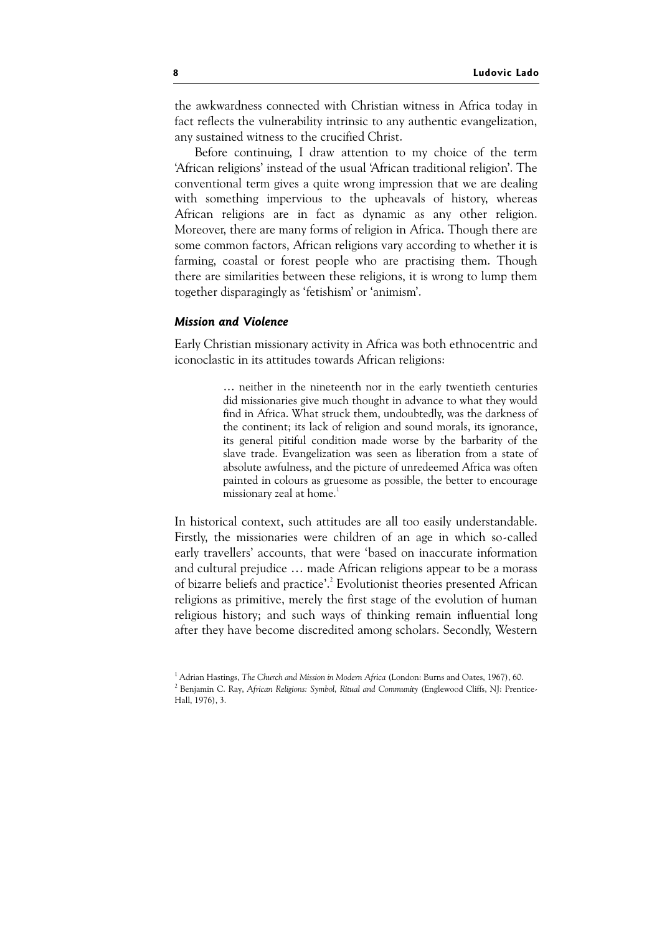the awkwardness connected with Christian witness in Africa today in fact reflects the vulnerability intrinsic to any authentic evangelization, any sustained witness to the crucified Christ.

Before continuing, I draw attention to my choice of the term 'African religions' instead of the usual 'African traditional religion'. The conventional term gives a quite wrong impression that we are dealing with something impervious to the upheavals of history, whereas African religions are in fact as dynamic as any other religion. Moreover, there are many forms of religion in Africa. Though there are some common factors, African religions vary according to whether it is farming, coastal or forest people who are practising them. Though there are similarities between these religions, it is wrong to lump them together disparagingly as 'fetishism' or 'animism'.

### Mission and Violence

Early Christian missionary activity in Africa was both ethnocentric and iconoclastic in its attitudes towards African religions:

> … neither in the nineteenth nor in the early twentieth centuries did missionaries give much thought in advance to what they would find in Africa. What struck them, undoubtedly, was the darkness of the continent; its lack of religion and sound morals, its ignorance, its general pitiful condition made worse by the barbarity of the slave trade. Evangelization was seen as liberation from a state of absolute awfulness, and the picture of unredeemed Africa was often painted in colours as gruesome as possible, the better to encourage missionary zeal at home.<sup>1</sup>

In historical context, such attitudes are all too easily understandable. Firstly, the missionaries were children of an age in which so-called early travellers' accounts, that were 'based on inaccurate information and cultural prejudice … made African religions appear to be a morass of bizarre beliefs and practice'.<sup>2</sup> Evolutionist theories presented African religions as primitive, merely the first stage of the evolution of human religious history; and such ways of thinking remain influential long after they have become discredited among scholars. Secondly, Western

<sup>&</sup>lt;sup>1</sup> Adrian Hastings, The Church and Mission in Modern Africa (London: Burns and Oates, 1967), 60. <sup>2</sup> Benjamin C. Ray, African Religions: Symbol, Ritual and Community (Englewood Cliffs, NJ: Prentice-Hall, 1976), 3.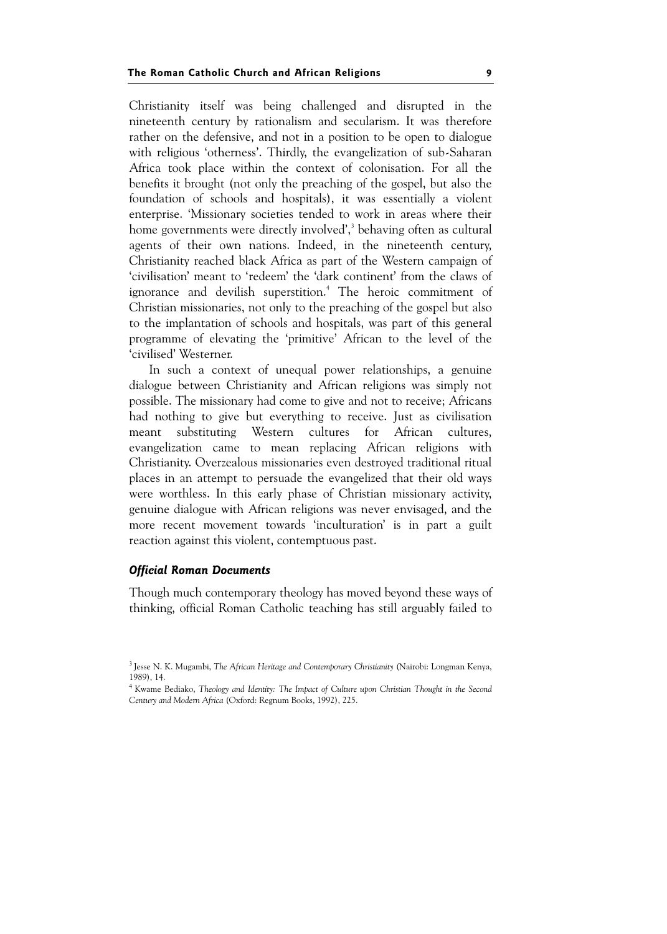Christianity itself was being challenged and disrupted in the nineteenth century by rationalism and secularism. It was therefore rather on the defensive, and not in a position to be open to dialogue with religious 'otherness'. Thirdly, the evangelization of sub-Saharan Africa took place within the context of colonisation. For all the benefits it brought (not only the preaching of the gospel, but also the foundation of schools and hospitals), it was essentially a violent enterprise. 'Missionary societies tended to work in areas where their home governments were directly involved',<sup>3</sup> behaving often as cultural agents of their own nations. Indeed, in the nineteenth century, Christianity reached black Africa as part of the Western campaign of 'civilisation' meant to 'redeem' the 'dark continent' from the claws of ignorance and devilish superstition.<sup>4</sup> The heroic commitment of Christian missionaries, not only to the preaching of the gospel but also to the implantation of schools and hospitals, was part of this general programme of elevating the 'primitive' African to the level of the 'civilised' Westerner.

In such a context of unequal power relationships, a genuine dialogue between Christianity and African religions was simply not possible. The missionary had come to give and not to receive; Africans had nothing to give but everything to receive. Just as civilisation meant substituting Western cultures for African cultures, evangelization came to mean replacing African religions with Christianity. Overzealous missionaries even destroyed traditional ritual places in an attempt to persuade the evangelized that their old ways were worthless. In this early phase of Christian missionary activity, genuine dialogue with African religions was never envisaged, and the more recent movement towards 'inculturation' is in part a guilt reaction against this violent, contemptuous past.

#### Official Roman Documents

Though much contemporary theology has moved beyond these ways of thinking, official Roman Catholic teaching has still arguably failed to

<sup>&</sup>lt;sup>3</sup> Jesse N. K. Mugambi, The African Heritage and Contemporary Christianity (Nairobi: Longman Kenya, 1989), 14.

<sup>&</sup>lt;sup>4</sup> Kwame Bediako, Theology and Identity: The Impact of Culture upon Christian Thought in the Second Century and Modern Africa (Oxford: Regnum Books, 1992), 225.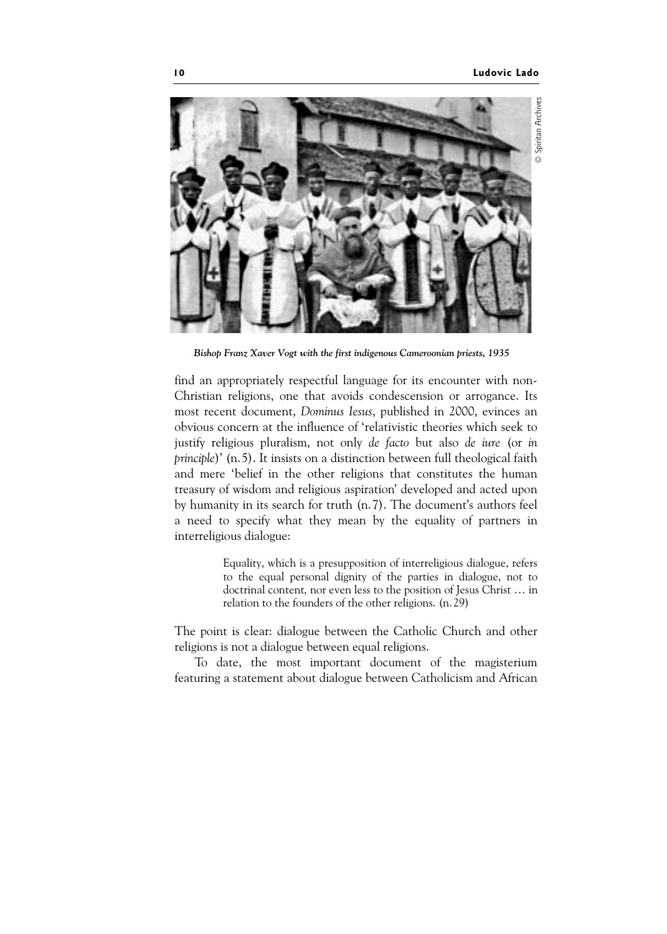

Bishop Franz Xaver Vogt with the first indigenous Cameroonian priests, 1935

find an appropriately respectful language for its encounter with non-Christian religions, one that avoids condescension or arrogance. Its most recent document, Dominus Iesus, published in 2000, evinces an obvious concern at the influence of 'relativistic theories which seek to justify religious pluralism, not only de facto but also de iure (or in principle)' (n.5). It insists on a distinction between full theological faith and mere 'belief in the other religions that constitutes the human treasury of wisdom and religious aspiration' developed and acted upon by humanity in its search for truth (n.7). The document's authors feel a need to specify what they mean by the equality of partners in interreligious dialogue:

> Equality, which is a presupposition of interreligious dialogue, refers to the equal personal dignity of the parties in dialogue, not to doctrinal content, nor even less to the position of Jesus Christ … in relation to the founders of the other religions. (n.29)

The point is clear: dialogue between the Catholic Church and other religions is not a dialogue between equal religions.

To date, the most important document of the magisterium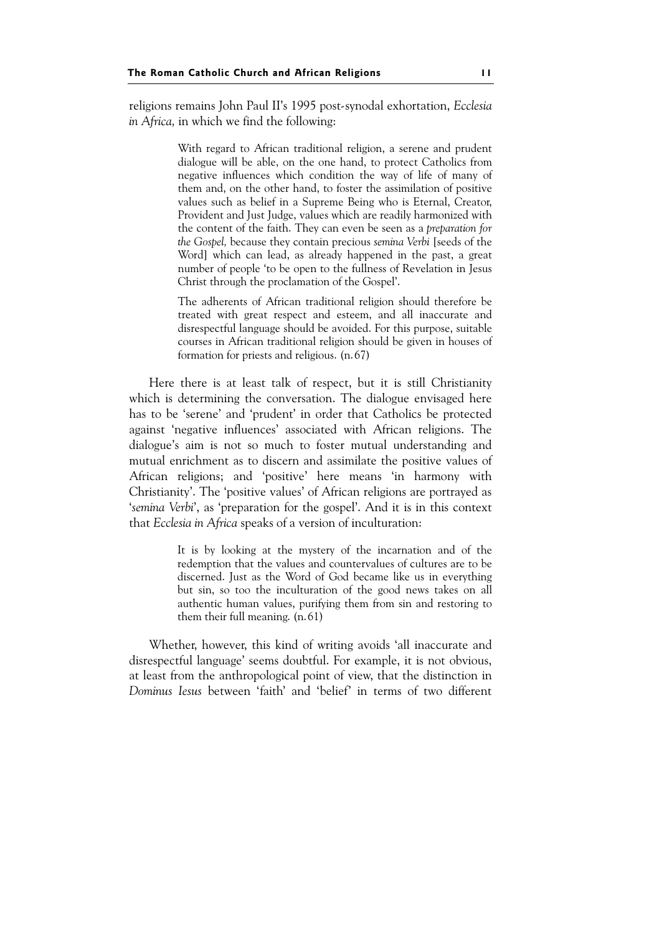religions remains John Paul II's 1995 post-synodal exhortation, Ecclesia in Africa, in which we find the following:

> With regard to African traditional religion, a serene and prudent dialogue will be able, on the one hand, to protect Catholics from negative influences which condition the way of life of many of them and, on the other hand, to foster the assimilation of positive values such as belief in a Supreme Being who is Eternal, Creator, Provident and Just Judge, values which are readily harmonized with the content of the faith. They can even be seen as a preparation for the Gospel, because they contain precious semina Verbi [seeds of the Word] which can lead, as already happened in the past, a great number of people 'to be open to the fullness of Revelation in Jesus Christ through the proclamation of the Gospel'.

> The adherents of African traditional religion should therefore be treated with great respect and esteem, and all inaccurate and disrespectful language should be avoided. For this purpose, suitable courses in African traditional religion should be given in houses of formation for priests and religious. (n.67)

Here there is at least talk of respect, but it is still Christianity which is determining the conversation. The dialogue envisaged here has to be 'serene' and 'prudent' in order that Catholics be protected against 'negative influences' associated with African religions. The dialogue's aim is not so much to foster mutual understanding and mutual enrichment as to discern and assimilate the positive values of African religions; and 'positive' here means 'in harmony with Christianity'. The 'positive values' of African religions are portrayed as 'semina Verbi', as 'preparation for the gospel'. And it is in this context that Ecclesia in Africa speaks of a version of inculturation:

> It is by looking at the mystery of the incarnation and of the redemption that the values and countervalues of cultures are to be discerned. Just as the Word of God became like us in everything but sin, so too the inculturation of the good news takes on all authentic human values, purifying them from sin and restoring to them their full meaning. (n.61)

Whether, however, this kind of writing avoids 'all inaccurate and disrespectful language' seems doubtful. For example, it is not obvious, at least from the anthropological point of view, that the distinction in Dominus Iesus between 'faith' and 'belief' in terms of two different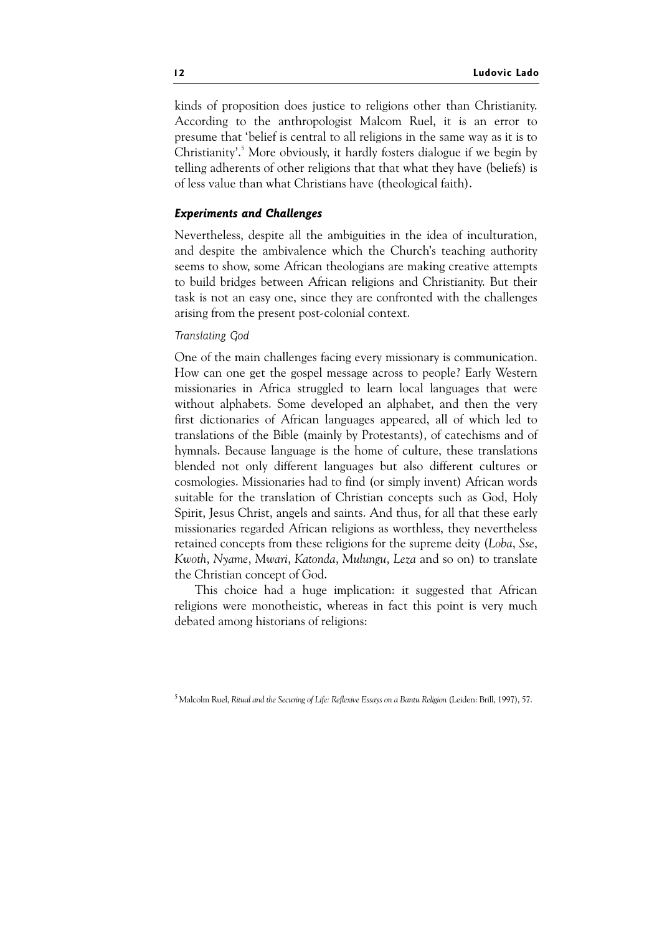kinds of proposition does justice to religions other than Christianity. According to the anthropologist Malcom Ruel, it is an error to presume that 'belief is central to all religions in the same way as it is to Christianity'.<sup>5</sup> More obviously, it hardly fosters dialogue if we begin by telling adherents of other religions that that what they have (beliefs) is of less value than what Christians have (theological faith).

### Experiments and Challenges

Nevertheless, despite all the ambiguities in the idea of inculturation, and despite the ambivalence which the Church's teaching authority seems to show, some African theologians are making creative attempts to build bridges between African religions and Christianity. But their task is not an easy one, since they are confronted with the challenges arising from the present post-colonial context.

#### Translating God

One of the main challenges facing every missionary is communication. How can one get the gospel message across to people? Early Western missionaries in Africa struggled to learn local languages that were without alphabets. Some developed an alphabet, and then the very first dictionaries of African languages appeared, all of which led to translations of the Bible (mainly by Protestants), of catechisms and of hymnals. Because language is the home of culture, these translations blended not only different languages but also different cultures or cosmologies. Missionaries had to find (or simply invent) African words suitable for the translation of Christian concepts such as God, Holy Spirit, Jesus Christ, angels and saints. And thus, for all that these early missionaries regarded African religions as worthless, they nevertheless retained concepts from these religions for the supreme deity (Loba, Sse, Kwoth, Nyame, Mwari, Katonda, Mulungu, Leza and so on) to translate the Christian concept of God.

This choice had a huge implication: it suggested that African religions were monotheistic, whereas in fact this point is very much debated among historians of religions:

<sup>5</sup> Malcolm Ruel, Ritual and the Securing of Life: Reflexive Essays on a Bantu Religion (Leiden: Brill, 1997), 57.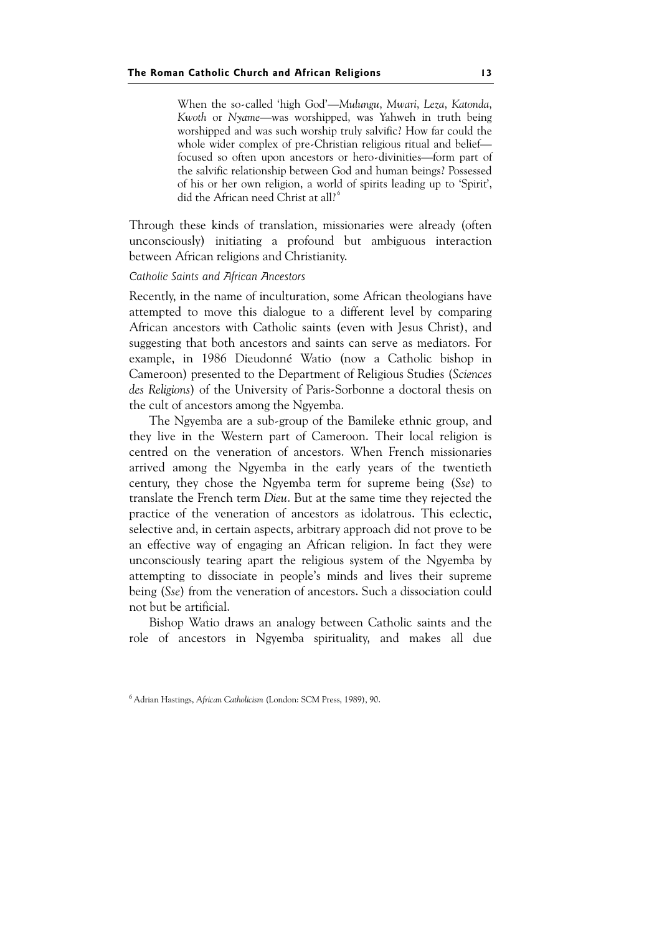When the so-called 'high God'—Mulungu, Mwari, Leza, Katonda, Kwoth or Nyame—was worshipped, was Yahweh in truth being worshipped and was such worship truly salvific? How far could the whole wider complex of pre-Christian religious ritual and belief focused so often upon ancestors or hero-divinities—form part of the salvific relationship between God and human beings? Possessed of his or her own religion, a world of spirits leading up to 'Spirit', did the African need Christ at all?<sup>6</sup>

Through these kinds of translation, missionaries were already (often unconsciously) initiating a profound but ambiguous interaction between African religions and Christianity.

#### Catholic Saints and African Ancestors

Recently, in the name of inculturation, some African theologians have attempted to move this dialogue to a different level by comparing African ancestors with Catholic saints (even with Jesus Christ), and suggesting that both ancestors and saints can serve as mediators. For example, in 1986 Dieudonné Watio (now a Catholic bishop in Cameroon) presented to the Department of Religious Studies (Sciences des Religions) of the University of Paris-Sorbonne a doctoral thesis on the cult of ancestors among the Ngyemba.

The Ngyemba are a sub-group of the Bamileke ethnic group, and they live in the Western part of Cameroon. Their local religion is centred on the veneration of ancestors. When French missionaries arrived among the Ngyemba in the early years of the twentieth century, they chose the Ngyemba term for supreme being (Sse) to translate the French term Dieu. But at the same time they rejected the practice of the veneration of ancestors as idolatrous. This eclectic, selective and, in certain aspects, arbitrary approach did not prove to be an effective way of engaging an African religion. In fact they were unconsciously tearing apart the religious system of the Ngyemba by attempting to dissociate in people's minds and lives their supreme being (Sse) from the veneration of ancestors. Such a dissociation could not but be artificial.

Bishop Watio draws an analogy between Catholic saints and the role of ancestors in Ngyemba spirituality, and makes all due

<sup>6</sup> Adrian Hastings, African Catholicism (London: SCM Press, 1989), 90.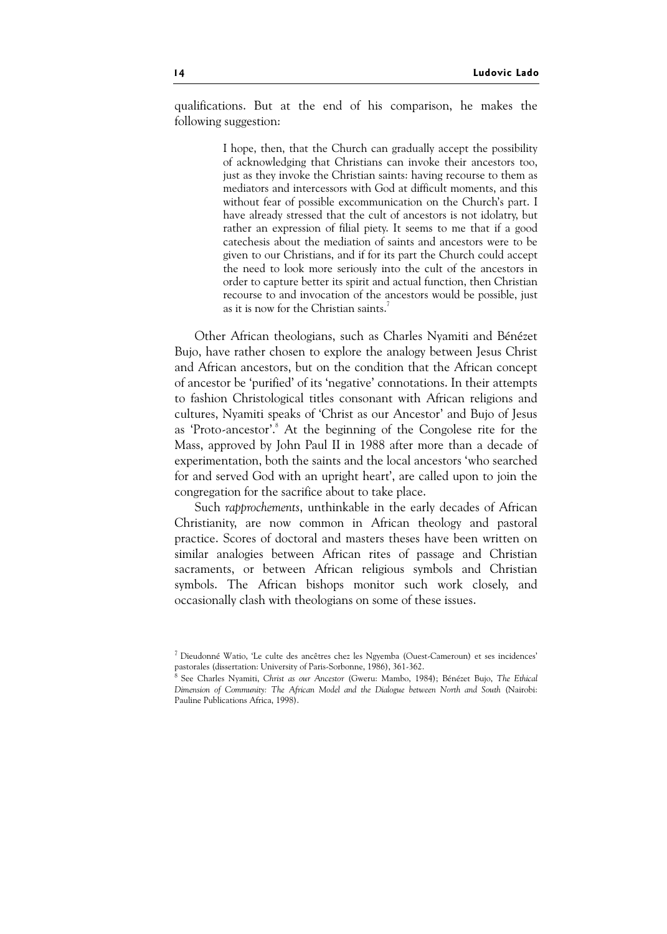qualifications. But at the end of his comparison, he makes the following suggestion:

> I hope, then, that the Church can gradually accept the possibility of acknowledging that Christians can invoke their ancestors too, just as they invoke the Christian saints: having recourse to them as mediators and intercessors with God at difficult moments, and this without fear of possible excommunication on the Church's part. I have already stressed that the cult of ancestors is not idolatry, but rather an expression of filial piety. It seems to me that if a good catechesis about the mediation of saints and ancestors were to be given to our Christians, and if for its part the Church could accept the need to look more seriously into the cult of the ancestors in order to capture better its spirit and actual function, then Christian recourse to and invocation of the ancestors would be possible, just as it is now for the Christian saints.<sup>7</sup>

Other African theologians, such as Charles Nyamiti and Bénézet Bujo, have rather chosen to explore the analogy between Jesus Christ and African ancestors, but on the condition that the African concept of ancestor be 'purified' of its 'negative' connotations. In their attempts to fashion Christological titles consonant with African religions and cultures, Nyamiti speaks of 'Christ as our Ancestor' and Bujo of Jesus as 'Proto-ancestor'.<sup>8</sup> At the beginning of the Congolese rite for the Mass, approved by John Paul II in 1988 after more than a decade of experimentation, both the saints and the local ancestors 'who searched for and served God with an upright heart', are called upon to join the congregation for the sacrifice about to take place.

Such rapprochements, unthinkable in the early decades of African Christianity, are now common in African theology and pastoral practice. Scores of doctoral and masters theses have been written on similar analogies between African rites of passage and Christian sacraments, or between African religious symbols and Christian symbols. The African bishops monitor such work closely, and occasionally clash with theologians on some of these issues.

<sup>7</sup> Dieudonné Watio, 'Le culte des ancêtres chez les Ngyemba (Ouest-Cameroun) et ses incidences' pastorales (dissertation: University of Paris-Sorbonne, 1986), 361-362.

<sup>8</sup> See Charles Nyamiti, Christ as our Ancestor (Gweru: Mambo, 1984); Bénézet Bujo, The Ethical Dimension of Community: The African Model and the Dialogue between North and South (Nairobi: Pauline Publications Africa, 1998).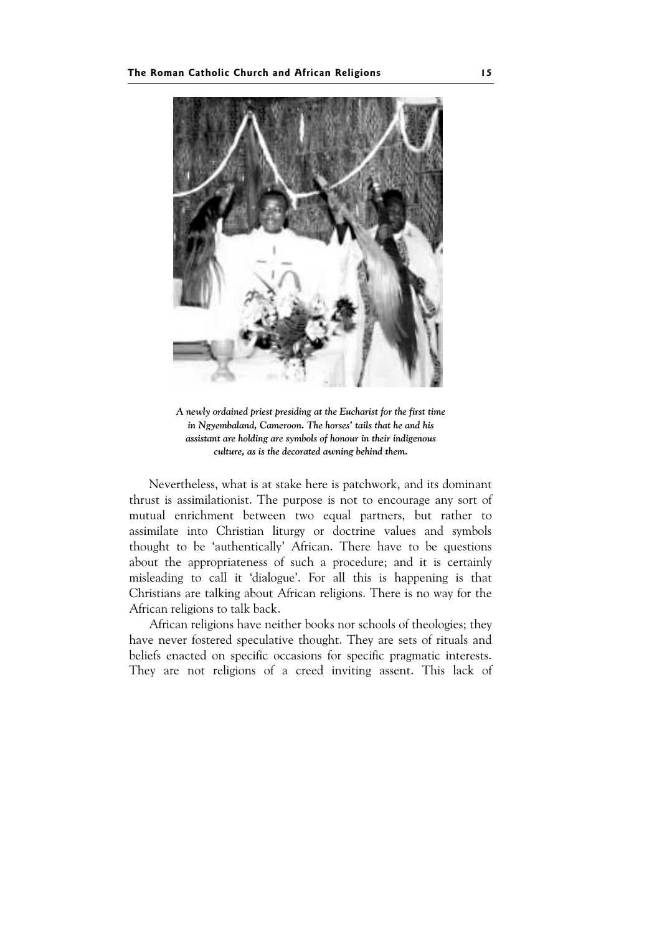

A newly ordained priest presiding at the Eucharist for the first time in Ngyembaland, Cameroon. The horses' tails that he and his assistant are holding are symbols of honour in their indigenous culture, as is the decorated awning behind them.

Nevertheless, what is at stake here is patchwork, and its dominant thrust is assimilationist. The purpose is not to encourage any sort of mutual enrichment between two equal partners, but rather to assimilate into Christian liturgy or doctrine values and symbols thought to be 'authentically' African. There have to be questions about the appropriateness of such a procedure; and it is certainly misleading to call it 'dialogue'. For all this is happening is that Christians are talking about African religions. There is no way for the African religions to talk back.

African religions have neither books nor schools of theologies; they have never fostered speculative thought. They are sets of rituals and beliefs enacted on specific occasions for specific pragmatic interests. They are not religions of a creed inviting assent. This lack of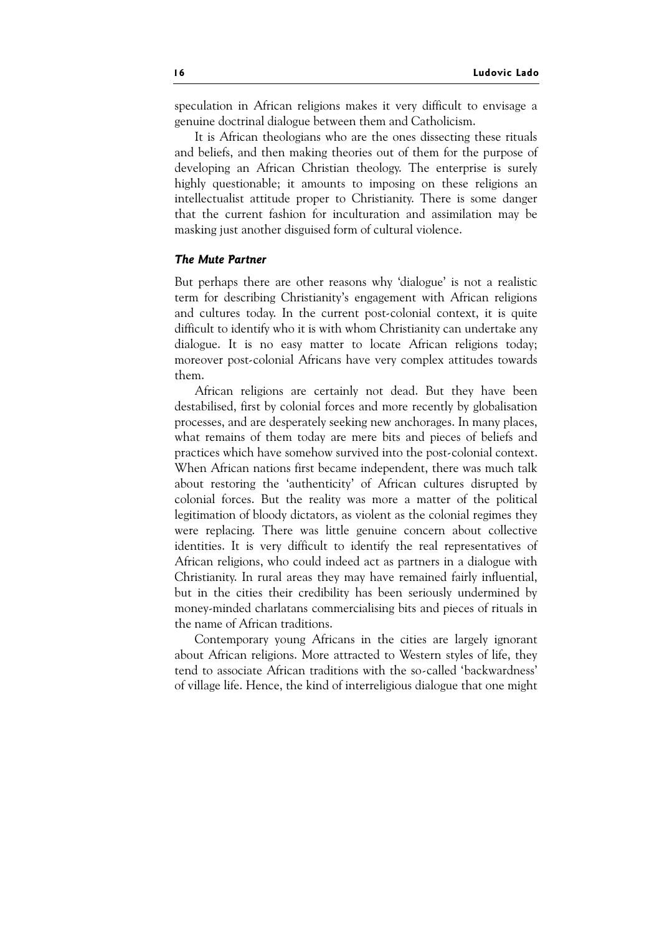speculation in African religions makes it very difficult to envisage a genuine doctrinal dialogue between them and Catholicism.

It is African theologians who are the ones dissecting these rituals and beliefs, and then making theories out of them for the purpose of developing an African Christian theology. The enterprise is surely highly questionable; it amounts to imposing on these religions an intellectualist attitude proper to Christianity. There is some danger that the current fashion for inculturation and assimilation may be masking just another disguised form of cultural violence.

#### The Mute Partner

But perhaps there are other reasons why 'dialogue' is not a realistic term for describing Christianity's engagement with African religions and cultures today. In the current post-colonial context, it is quite difficult to identify who it is with whom Christianity can undertake any dialogue. It is no easy matter to locate African religions today; moreover post-colonial Africans have very complex attitudes towards them.

African religions are certainly not dead. But they have been destabilised, first by colonial forces and more recently by globalisation processes, and are desperately seeking new anchorages. In many places, what remains of them today are mere bits and pieces of beliefs and practices which have somehow survived into the post-colonial context. When African nations first became independent, there was much talk about restoring the 'authenticity' of African cultures disrupted by colonial forces. But the reality was more a matter of the political legitimation of bloody dictators, as violent as the colonial regimes they were replacing. There was little genuine concern about collective identities. It is very difficult to identify the real representatives of African religions, who could indeed act as partners in a dialogue with Christianity. In rural areas they may have remained fairly influential, but in the cities their credibility has been seriously undermined by money-minded charlatans commercialising bits and pieces of rituals in the name of African traditions.

Contemporary young Africans in the cities are largely ignorant about African religions. More attracted to Western styles of life, they tend to associate African traditions with the so-called 'backwardness' of village life. Hence, the kind of interreligious dialogue that one might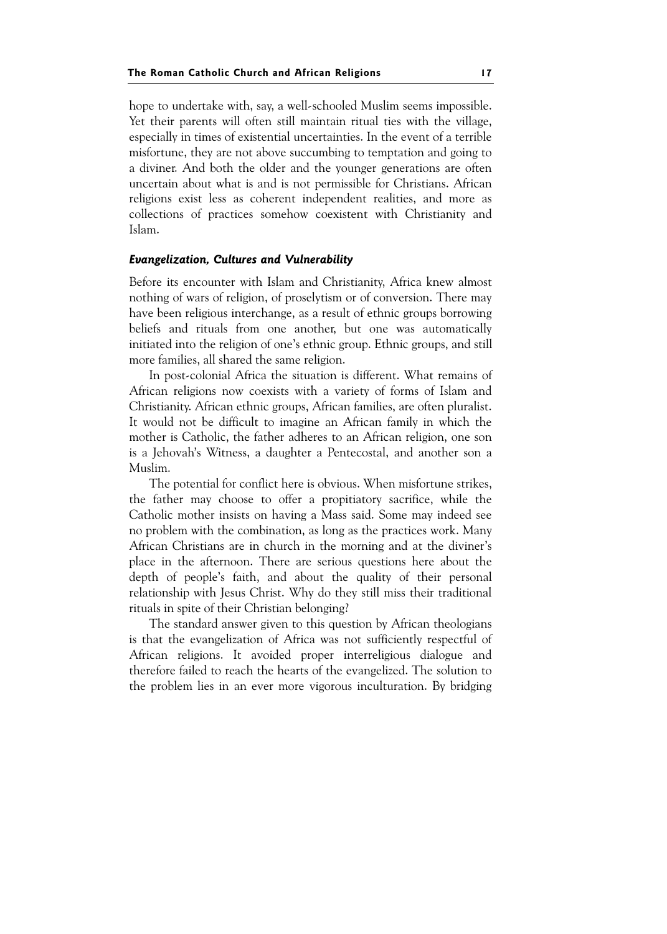hope to undertake with, say, a well-schooled Muslim seems impossible. Yet their parents will often still maintain ritual ties with the village, especially in times of existential uncertainties. In the event of a terrible misfortune, they are not above succumbing to temptation and going to a diviner. And both the older and the younger generations are often uncertain about what is and is not permissible for Christians. African religions exist less as coherent independent realities, and more as collections of practices somehow coexistent with Christianity and Islam.

#### Evangelization, Cultures and Vulnerability

Before its encounter with Islam and Christianity, Africa knew almost nothing of wars of religion, of proselytism or of conversion. There may have been religious interchange, as a result of ethnic groups borrowing beliefs and rituals from one another, but one was automatically initiated into the religion of one's ethnic group. Ethnic groups, and still more families, all shared the same religion.

In post-colonial Africa the situation is different. What remains of African religions now coexists with a variety of forms of Islam and Christianity. African ethnic groups, African families, are often pluralist. It would not be difficult to imagine an African family in which the mother is Catholic, the father adheres to an African religion, one son is a Jehovah's Witness, a daughter a Pentecostal, and another son a Muslim.

The potential for conflict here is obvious. When misfortune strikes, the father may choose to offer a propitiatory sacrifice, while the Catholic mother insists on having a Mass said. Some may indeed see no problem with the combination, as long as the practices work. Many African Christians are in church in the morning and at the diviner's place in the afternoon. There are serious questions here about the depth of people's faith, and about the quality of their personal relationship with Jesus Christ. Why do they still miss their traditional rituals in spite of their Christian belonging?

The standard answer given to this question by African theologians is that the evangelization of Africa was not sufficiently respectful of African religions. It avoided proper interreligious dialogue and therefore failed to reach the hearts of the evangelized. The solution to the problem lies in an ever more vigorous inculturation. By bridging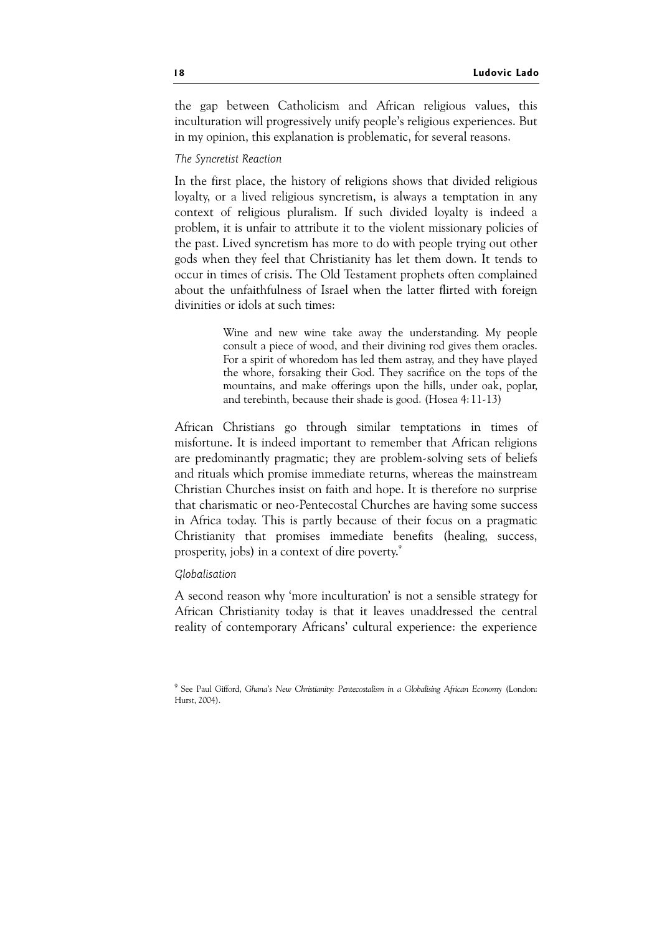the gap between Catholicism and African religious values, this inculturation will progressively unify people's religious experiences. But in my opinion, this explanation is problematic, for several reasons.

#### The Syncretist Reaction

In the first place, the history of religions shows that divided religious loyalty, or a lived religious syncretism, is always a temptation in any context of religious pluralism. If such divided loyalty is indeed a problem, it is unfair to attribute it to the violent missionary policies of the past. Lived syncretism has more to do with people trying out other gods when they feel that Christianity has let them down. It tends to occur in times of crisis. The Old Testament prophets often complained about the unfaithfulness of Israel when the latter flirted with foreign divinities or idols at such times:

> Wine and new wine take away the understanding. My people consult a piece of wood, and their divining rod gives them oracles. For a spirit of whoredom has led them astray, and they have played the whore, forsaking their God. They sacrifice on the tops of the mountains, and make offerings upon the hills, under oak, poplar, and terebinth, because their shade is good. (Hosea 4:11-13)

African Christians go through similar temptations in times of misfortune. It is indeed important to remember that African religions are predominantly pragmatic; they are problem-solving sets of beliefs and rituals which promise immediate returns, whereas the mainstream Christian Churches insist on faith and hope. It is therefore no surprise that charismatic or neo-Pentecostal Churches are having some success in Africa today. This is partly because of their focus on a pragmatic Christianity that promises immediate benefits (healing, success, prosperity, jobs) in a context of dire poverty.<sup>9</sup>

#### Globalisation

A second reason why 'more inculturation' is not a sensible strategy for African Christianity today is that it leaves unaddressed the central reality of contemporary Africans' cultural experience: the experience

<sup>&</sup>lt;sup>9</sup> See Paul Gifford, Ghana's New Christianity: Pentecostalism in a Globalising African Economy (London: Hurst, 2004).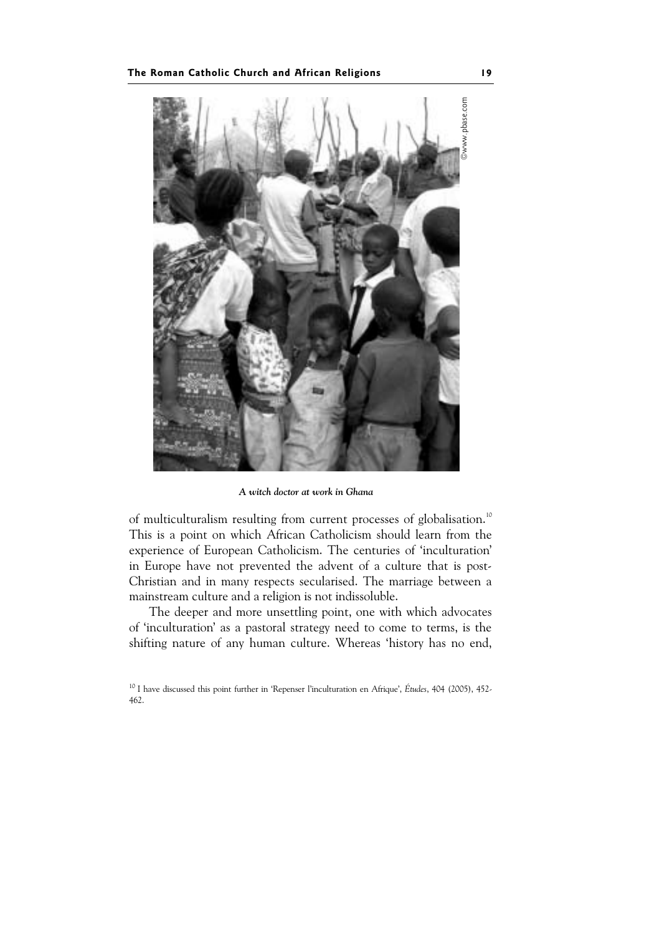

A witch doctor at work in Ghana

of multiculturalism resulting from current processes of globalisation.<sup>10</sup> This is a point on which African Catholicism should learn from the experience of European Catholicism. The centuries of 'inculturation' in Europe have not prevented the advent of a culture that is post-Christian and in many respects secularised. The marriage between a mainstream culture and a religion is not indissoluble.

The deeper and more unsettling point, one with which advocates of 'inculturation' as a pastoral strategy need to come to terms, is the shifting nature of any human culture. Whereas 'history has no end,

<sup>&</sup>lt;sup>10</sup> I have discussed this point further in 'Repenser l'inculturation en Afrique', Études, 404 (2005), 452-462.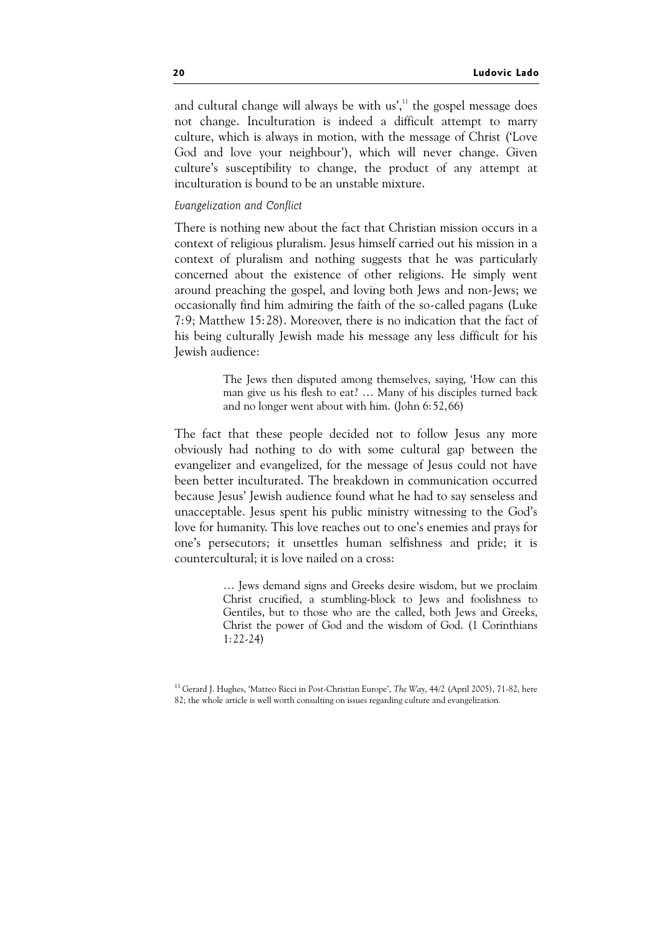and cultural change will always be with  $us'$ ,<sup> $11$ </sup> the gospel message does not change. Inculturation is indeed a difficult attempt to marry culture, which is always in motion, with the message of Christ ('Love God and love your neighbour'), which will never change. Given culture's susceptibility to change, the product of any attempt at inculturation is bound to be an unstable mixture.

#### Evangelization and Conflict

There is nothing new about the fact that Christian mission occurs in a context of religious pluralism. Jesus himself carried out his mission in a context of pluralism and nothing suggests that he was particularly concerned about the existence of other religions. He simply went around preaching the gospel, and loving both Jews and non-Jews; we occasionally find him admiring the faith of the so-called pagans (Luke 7:9; Matthew 15:28). Moreover, there is no indication that the fact of his being culturally Jewish made his message any less difficult for his Jewish audience:

> The Jews then disputed among themselves, saying, 'How can this man give us his flesh to eat? … Many of his disciples turned back and no longer went about with him. (John 6:52,66)

The fact that these people decided not to follow Jesus any more obviously had nothing to do with some cultural gap between the evangelizer and evangelized, for the message of Jesus could not have been better inculturated. The breakdown in communication occurred because Jesus' Jewish audience found what he had to say senseless and unacceptable. Jesus spent his public ministry witnessing to the God's love for humanity. This love reaches out to one's enemies and prays for one's persecutors; it unsettles human selfishness and pride; it is countercultural; it is love nailed on a cross:

> … Jews demand signs and Greeks desire wisdom, but we proclaim Christ crucified, a stumbling-block to Jews and foolishness to Gentiles, but to those who are the called, both Jews and Greeks, Christ the power of God and the wisdom of God. (1 Corinthians 1:22-24)

<sup>&</sup>lt;sup>11</sup> Gerard J. Hughes, 'Matteo Ricci in Post-Christian Europe', The Way, 44/2 (April 2005), 71-82, here 82; the whole article is well worth consulting on issues regarding culture and evangelization.